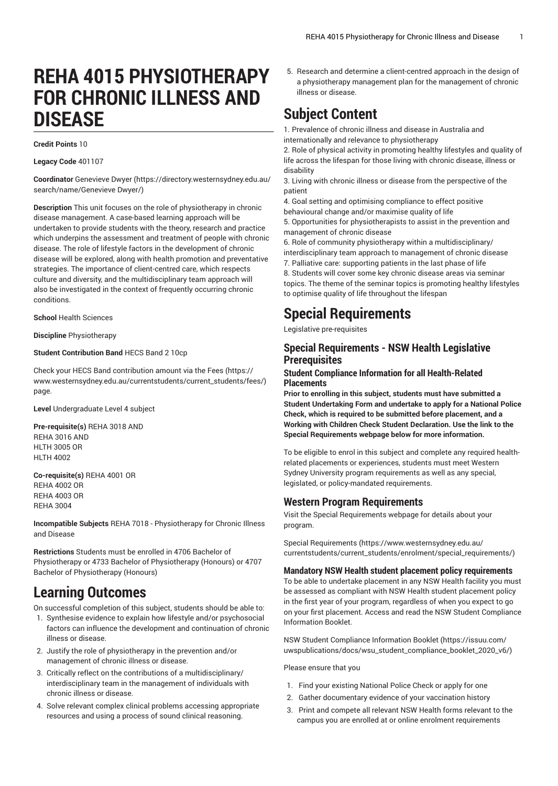# **REHA 4015 PHYSIOTHERAPY FOR CHRONIC ILLNESS AND DISEASE**

#### **Credit Points** 10

**Legacy Code** 401107

**Coordinator** [Genevieve](https://directory.westernsydney.edu.au/search/name/Genevieve Dwyer/) Dwyer [\(https://directory.westernsydney.edu.au/](https://directory.westernsydney.edu.au/search/name/Genevieve Dwyer/) [search/name/Genevieve](https://directory.westernsydney.edu.au/search/name/Genevieve Dwyer/) Dwyer/)

**Description** This unit focuses on the role of physiotherapy in chronic disease management. A case-based learning approach will be undertaken to provide students with the theory, research and practice which underpins the assessment and treatment of people with chronic disease. The role of lifestyle factors in the development of chronic disease will be explored, along with health promotion and preventative strategies. The importance of client-centred care, which respects culture and diversity, and the multidisciplinary team approach will also be investigated in the context of frequently occurring chronic conditions.

**School** Health Sciences

**Discipline** Physiotherapy

#### **Student Contribution Band** HECS Band 2 10cp

Check your HECS Band contribution amount via the [Fees \(https://](https://www.westernsydney.edu.au/currentstudents/current_students/fees/) [www.westernsydney.edu.au/currentstudents/current\\_students/fees/\)](https://www.westernsydney.edu.au/currentstudents/current_students/fees/) page.

**Level** Undergraduate Level 4 subject

**Pre-requisite(s)** [REHA](/search/?P=REHA%203018) 3018 AND [REHA](/search/?P=REHA%203016) 3016 AND [HLTH](/search/?P=HLTH%203005) 3005 OR [HLTH](/search/?P=HLTH%204002) 4002

**Co-requisite(s)** [REHA](/search/?P=REHA%204001) 4001 OR [REHA](/search/?P=REHA%204002) 4002 OR [REHA](/search/?P=REHA%204003) 4003 OR [REHA](/search/?P=REHA%203004) 3004

**Incompatible Subjects** [REHA](/search/?P=REHA%207018) 7018 - Physiotherapy for Chronic Illness and Disease

**Restrictions** Students must be enrolled in 4706 Bachelor of Physiotherapy or 4733 Bachelor of Physiotherapy (Honours) or 4707 Bachelor of Physiotherapy (Honours)

## **Learning Outcomes**

On successful completion of this subject, students should be able to:

- 1. Synthesise evidence to explain how lifestyle and/or psychosocial factors can influence the development and continuation of chronic illness or disease.
- 2. Justify the role of physiotherapy in the prevention and/or management of chronic illness or disease.
- 3. Critically reflect on the contributions of a multidisciplinary/ interdisciplinary team in the management of individuals with chronic illness or disease.
- 4. Solve relevant complex clinical problems accessing appropriate resources and using a process of sound clinical reasoning.

5. Research and determine a client-centred approach in the design of a physiotherapy management plan for the management of chronic illness or disease.

## **Subject Content**

1. Prevalence of chronic illness and disease in Australia and internationally and relevance to physiotherapy

2. Role of physical activity in promoting healthy lifestyles and quality of life across the lifespan for those living with chronic disease, illness or disability

3. Living with chronic illness or disease from the perspective of the patient

4. Goal setting and optimising compliance to effect positive behavioural change and/or maximise quality of life

5. Opportunities for physiotherapists to assist in the prevention and management of chronic disease

6. Role of community physiotherapy within a multidisciplinary/ interdisciplinary team approach to management of chronic disease

7. Palliative care: supporting patients in the last phase of life 8. Students will cover some key chronic disease areas via seminar topics. The theme of the seminar topics is promoting healthy lifestyles to optimise quality of life throughout the lifespan

## **Special Requirements**

Legislative pre-requisites

#### **Special Requirements - NSW Health Legislative Prerequisites**

#### **Student Compliance Information for all Health-Related Placements**

**Prior to enrolling in this subject, students must have submitted a Student Undertaking Form and undertake to apply for a National Police Check, which is required to be submitted before placement, and a Working with Children Check Student Declaration. Use the link to the Special Requirements webpage below for more information.**

To be eligible to enrol in this subject and complete any required healthrelated placements or experiences, students must meet Western Sydney University program requirements as well as any special, legislated, or policy-mandated requirements.

#### **Western Program Requirements**

Visit the Special Requirements webpage for details about your program.

Special [Requirements \(https://www.westernsydney.edu.au/](https://www.westernsydney.edu.au/currentstudents/current_students/enrolment/special_requirements/) [currentstudents/current\\_students/enrolment/special\\_requirements/](https://www.westernsydney.edu.au/currentstudents/current_students/enrolment/special_requirements/))

#### **Mandatory NSW Health student placement policy requirements**

To be able to undertake placement in any NSW Health facility you must be assessed as compliant with NSW Health student placement policy in the first year of your program, regardless of when you expect to go on your first placement. Access and read the NSW Student Compliance Information Booklet.

[NSW Student Compliance Information Booklet](https://issuu.com/uwspublications/docs/wsu_student_compliance_booklet_2020_v6/) ([https://issuu.com/](https://issuu.com/uwspublications/docs/wsu_student_compliance_booklet_2020_v6/) [uwspublications/docs/wsu\\_student\\_compliance\\_booklet\\_2020\\_v6/](https://issuu.com/uwspublications/docs/wsu_student_compliance_booklet_2020_v6/))

Please ensure that you

- 1. Find your existing National Police Check or apply for one
- 2. Gather documentary evidence of your vaccination history
- 3. Print and compete all relevant NSW Health forms relevant to the campus you are enrolled at or online enrolment requirements